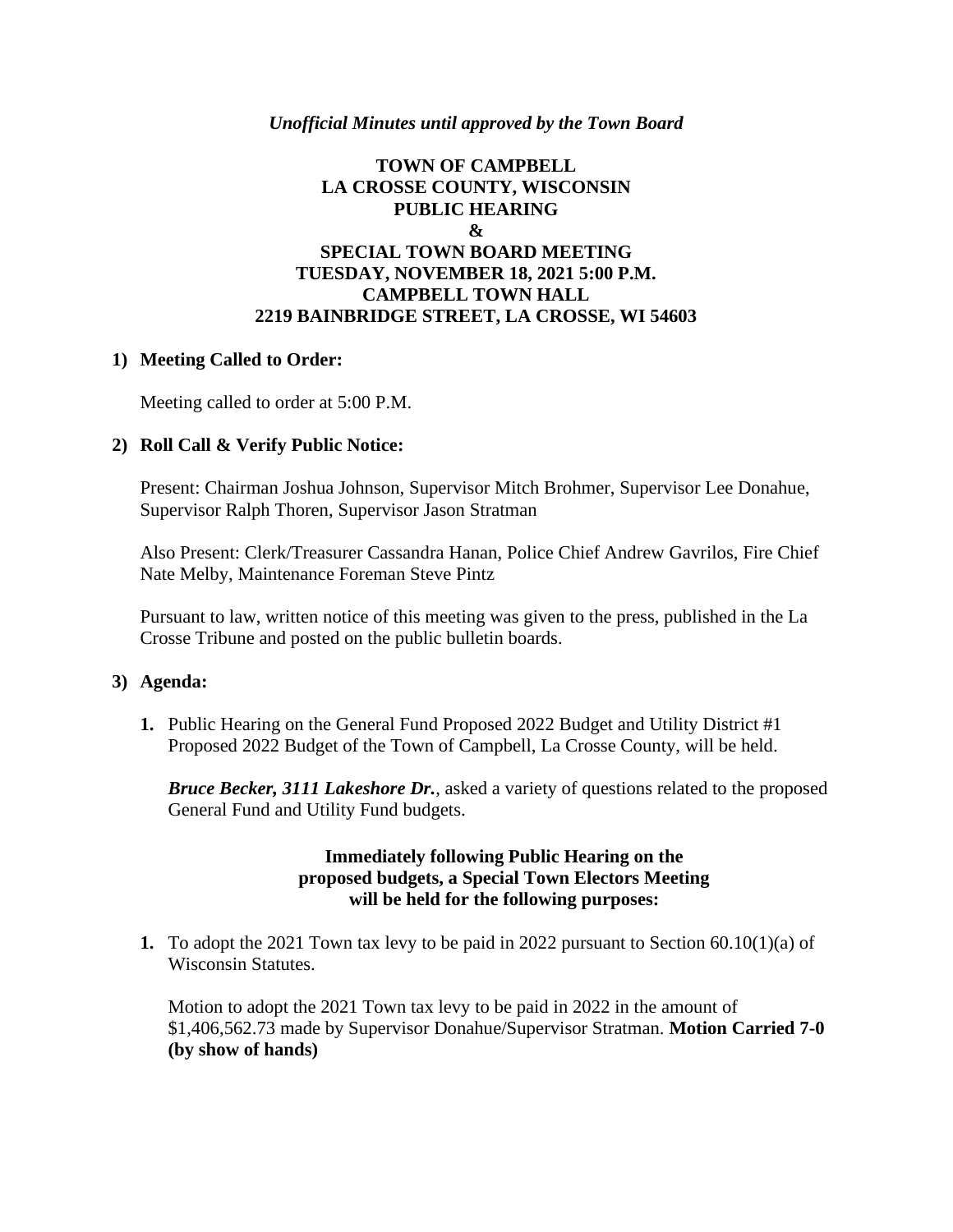## *Unofficial Minutes until approved by the Town Board*

# **TOWN OF CAMPBELL LA CROSSE COUNTY, WISCONSIN PUBLIC HEARING & SPECIAL TOWN BOARD MEETING TUESDAY, NOVEMBER 18, 2021 5:00 P.M. CAMPBELL TOWN HALL 2219 BAINBRIDGE STREET, LA CROSSE, WI 54603**

### **1) Meeting Called to Order:**

Meeting called to order at 5:00 P.M.

### **2) Roll Call & Verify Public Notice:**

Present: Chairman Joshua Johnson, Supervisor Mitch Brohmer, Supervisor Lee Donahue, Supervisor Ralph Thoren, Supervisor Jason Stratman

Also Present: Clerk/Treasurer Cassandra Hanan, Police Chief Andrew Gavrilos, Fire Chief Nate Melby, Maintenance Foreman Steve Pintz

Pursuant to law, written notice of this meeting was given to the press, published in the La Crosse Tribune and posted on the public bulletin boards.

#### **3) Agenda:**

**1.** Public Hearing on the General Fund Proposed 2022 Budget and Utility District #1 Proposed 2022 Budget of the Town of Campbell, La Crosse County, will be held.

*Bruce Becker, 3111 Lakeshore Dr.*, asked a variety of questions related to the proposed General Fund and Utility Fund budgets.

## **Immediately following Public Hearing on the proposed budgets, a Special Town Electors Meeting will be held for the following purposes:**

**1.** To adopt the 2021 Town tax levy to be paid in 2022 pursuant to Section 60.10(1)(a) of Wisconsin Statutes.

Motion to adopt the 2021 Town tax levy to be paid in 2022 in the amount of \$1,406,562.73 made by Supervisor Donahue/Supervisor Stratman. **Motion Carried 7-0 (by show of hands)**